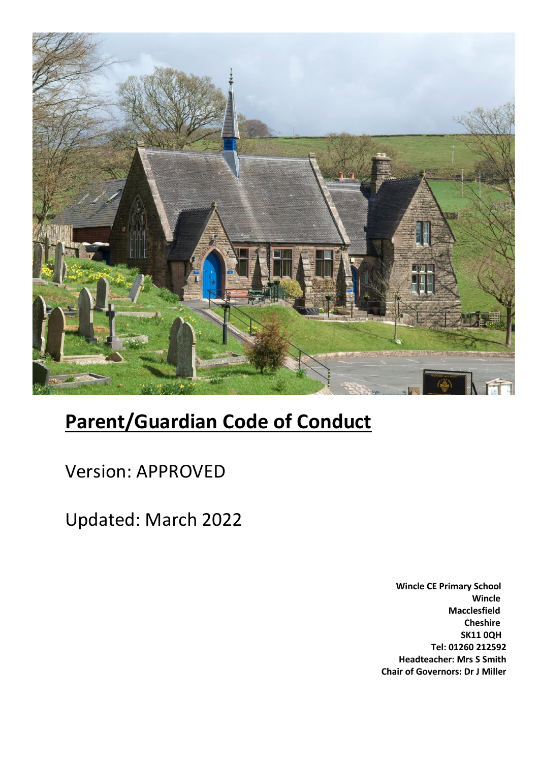

# **Parent/Guardian Code of Conduct**

Version: APPROVED

Updated: March 2022

**Wincle CE Primary School Wincle Macclesfield Cheshire SK11 0QH Tel: 01260 212592 Headteacher: Mrs S Smith Chair of Governors: Dr J Miller**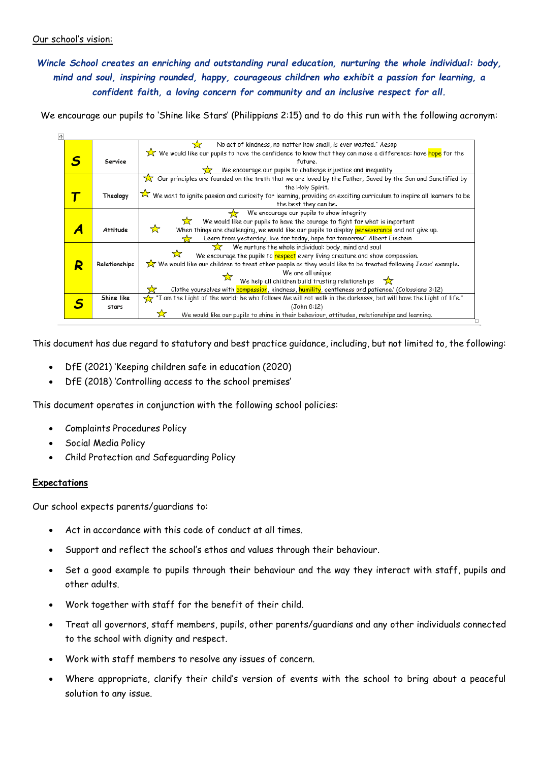## Our school's vision:

## *Wincle School creates an enriching and outstanding rural education, nurturing the whole individual: body, mind and soul, inspiring rounded, happy, courageous children who exhibit a passion for learning, a confident faith, a loving concern for community and an inclusive respect for all.*

We encourage our pupils to 'Shine like Stars' (Philippians 2:15) and to do this run with the following acronym:



This document has due regard to statutory and best practice guidance, including, but not limited to, the following:

- DfE (2021) 'Keeping children safe in education (2020)
- DfE (2018) 'Controlling access to the school premises'

This document operates in conjunction with the following school policies:

- Complaints Procedures Policy
- Social Media Policy
- Child Protection and Safeguarding Policy

## **Expectations**

Our school expects parents/guardians to:

- Act in accordance with this code of conduct at all times.
- Support and reflect the school's ethos and values through their behaviour.
- Set a good example to pupils through their behaviour and the way they interact with staff, pupils and other adults.
- Work together with staff for the benefit of their child.
- Treat all governors, staff members, pupils, other parents/guardians and any other individuals connected to the school with dignity and respect.
- Work with staff members to resolve any issues of concern.
- Where appropriate, clarify their child's version of events with the school to bring about a peaceful solution to any issue.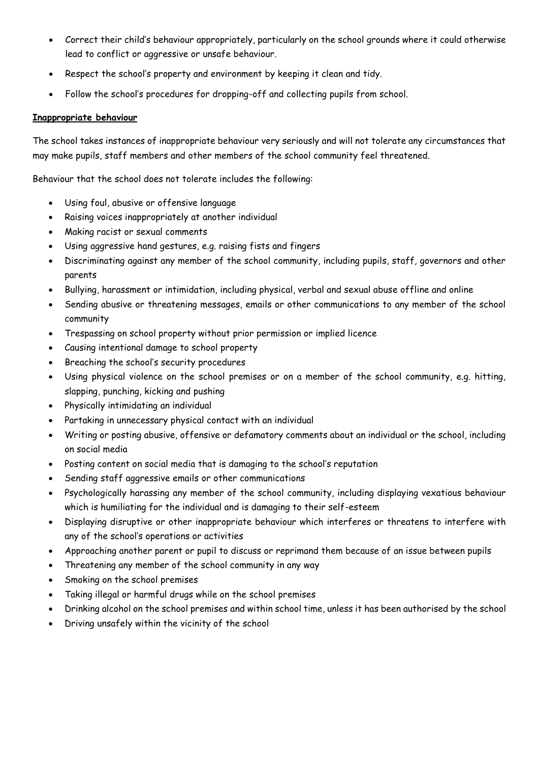- Correct their child's behaviour appropriately, particularly on the school grounds where it could otherwise lead to conflict or aggressive or unsafe behaviour.
- Respect the school's property and environment by keeping it clean and tidy.
- Follow the school's procedures for dropping-off and collecting pupils from school.

## **Inappropriate behaviour**

The school takes instances of inappropriate behaviour very seriously and will not tolerate any circumstances that may make pupils, staff members and other members of the school community feel threatened.

Behaviour that the school does not tolerate includes the following:

- Using foul, abusive or offensive language
- Raising voices inappropriately at another individual
- Making racist or sexual comments
- Using aggressive hand gestures, e.g. raising fists and fingers
- Discriminating against any member of the school community, including pupils, staff, governors and other parents
- Bullying, harassment or intimidation, including physical, verbal and sexual abuse offline and online
- Sending abusive or threatening messages, emails or other communications to any member of the school community
- Trespassing on school property without prior permission or implied licence
- Causing intentional damage to school property
- Breaching the school's security procedures
- Using physical violence on the school premises or on a member of the school community, e.g. hitting, slapping, punching, kicking and pushing
- Physically intimidating an individual
- Partaking in unnecessary physical contact with an individual
- Writing or posting abusive, offensive or defamatory comments about an individual or the school, including on social media
- Posting content on social media that is damaging to the school's reputation
- Sending staff aggressive emails or other communications
- Psychologically harassing any member of the school community, including displaying vexatious behaviour which is humiliating for the individual and is damaging to their self-esteem
- Displaying disruptive or other inappropriate behaviour which interferes or threatens to interfere with any of the school's operations or activities
- Approaching another parent or pupil to discuss or reprimand them because of an issue between pupils
- Threatening any member of the school community in any way
- Smoking on the school premises
- Taking illegal or harmful drugs while on the school premises
- Drinking alcohol on the school premises and within school time, unless it has been authorised by the school
- Driving unsafely within the vicinity of the school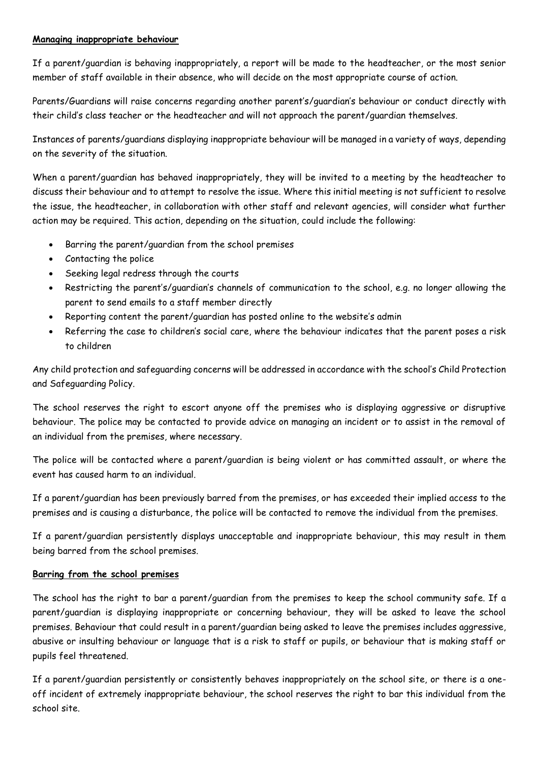## **Managing inappropriate behaviour**

If a parent/guardian is behaving inappropriately, a report will be made to the headteacher, or the most senior member of staff available in their absence, who will decide on the most appropriate course of action.

Parents/Guardians will raise concerns regarding another parent's/guardian's behaviour or conduct directly with their child's class teacher or the headteacher and will not approach the parent/guardian themselves.

Instances of parents/guardians displaying inappropriate behaviour will be managed in a variety of ways, depending on the severity of the situation.

When a parent/guardian has behaved inappropriately, they will be invited to a meeting by the headteacher to discuss their behaviour and to attempt to resolve the issue. Where this initial meeting is not sufficient to resolve the issue, the headteacher, in collaboration with other staff and relevant agencies, will consider what further action may be required. This action, depending on the situation, could include the following:

- Barring the parent/guardian from the school premises
- Contacting the police
- Seeking legal redress through the courts
- Restricting the parent's/guardian's channels of communication to the school, e.g. no longer allowing the parent to send emails to a staff member directly
- Reporting content the parent/guardian has posted online to the website's admin
- Referring the case to children's social care, where the behaviour indicates that the parent poses a risk to children

Any child protection and safeguarding concerns will be addressed in accordance with the school's Child Protection and Safeguarding Policy.

The school reserves the right to escort anyone off the premises who is displaying aggressive or disruptive behaviour. The police may be contacted to provide advice on managing an incident or to assist in the removal of an individual from the premises, where necessary.

The police will be contacted where a parent/guardian is being violent or has committed assault, or where the event has caused harm to an individual.

If a parent/guardian has been previously barred from the premises, or has exceeded their implied access to the premises and is causing a disturbance, the police will be contacted to remove the individual from the premises.

If a parent/guardian persistently displays unacceptable and inappropriate behaviour, this may result in them being barred from the school premises.

## **Barring from the school premises**

The school has the right to bar a parent/guardian from the premises to keep the school community safe. If a parent/guardian is displaying inappropriate or concerning behaviour, they will be asked to leave the school premises. Behaviour that could result in a parent/guardian being asked to leave the premises includes aggressive, abusive or insulting behaviour or language that is a risk to staff or pupils, or behaviour that is making staff or pupils feel threatened.

If a parent/guardian persistently or consistently behaves inappropriately on the school site, or there is a oneoff incident of extremely inappropriate behaviour, the school reserves the right to bar this individual from the school site.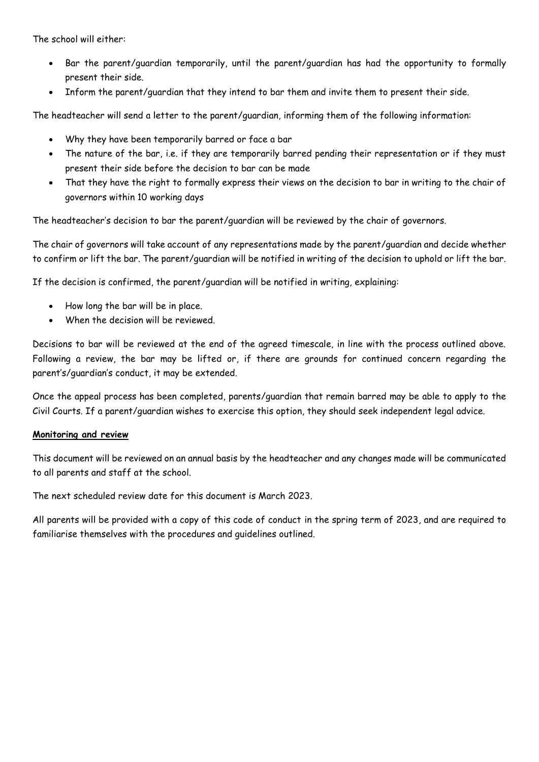The school will either:

- Bar the parent/guardian temporarily, until the parent/guardian has had the opportunity to formally present their side.
- Inform the parent/guardian that they intend to bar them and invite them to present their side.

The headteacher will send a letter to the parent/guardian, informing them of the following information:

- Why they have been temporarily barred or face a bar
- The nature of the bar, i.e. if they are temporarily barred pending their representation or if they must present their side before the decision to bar can be made
- That they have the right to formally express their views on the decision to bar in writing to the chair of governors within 10 working days

The headteacher's decision to bar the parent/guardian will be reviewed by the chair of governors.

The chair of governors will take account of any representations made by the parent/guardian and decide whether to confirm or lift the bar. The parent/guardian will be notified in writing of the decision to uphold or lift the bar.

If the decision is confirmed, the parent/guardian will be notified in writing, explaining:

- How long the bar will be in place.
- When the decision will be reviewed.

Decisions to bar will be reviewed at the end of the agreed timescale, in line with the process outlined above. Following a review, the bar may be lifted or, if there are grounds for continued concern regarding the parent's/guardian's conduct, it may be extended.

Once the appeal process has been completed, parents/guardian that remain barred may be able to apply to the Civil Courts. If a parent/guardian wishes to exercise this option, they should seek independent legal advice.

#### **Monitoring and review**

This document will be reviewed on an annual basis by the headteacher and any changes made will be communicated to all parents and staff at the school.

The next scheduled review date for this document is March 2023.

All parents will be provided with a copy of this code of conduct in the spring term of 2023, and are required to familiarise themselves with the procedures and guidelines outlined.